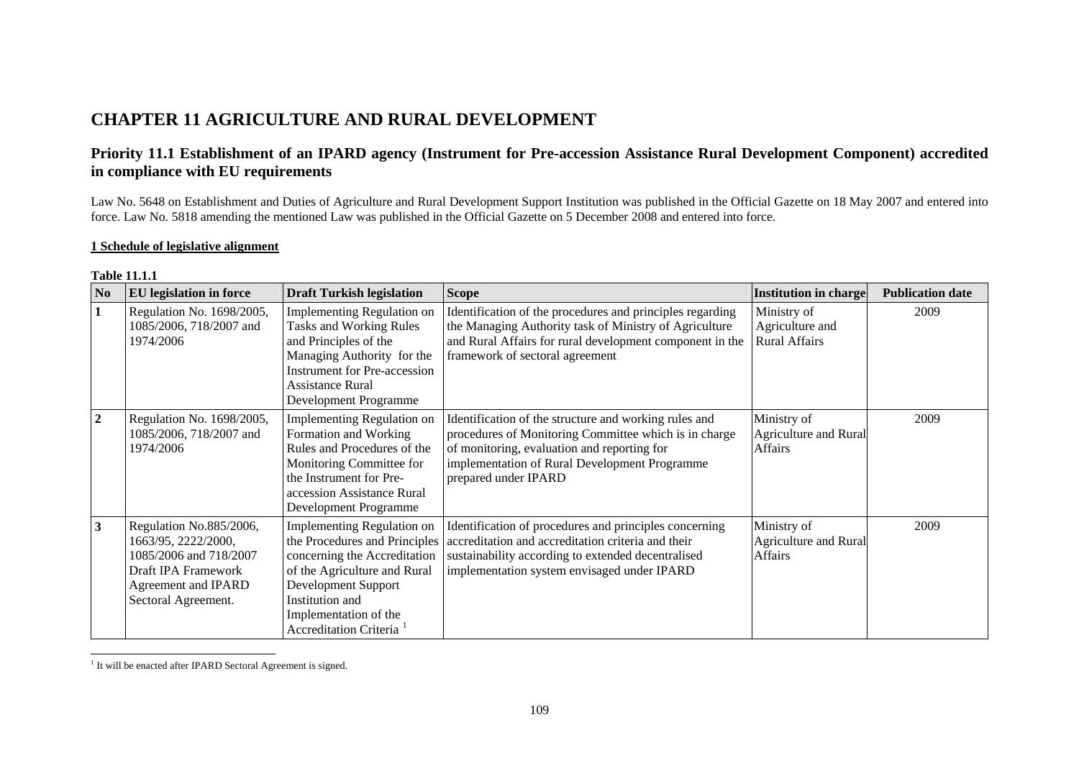# **CHAPTER 11 AGRICULTURE AND RURAL DEVELOPMENT**

## **Priority 11.1 Establishment of an IPARD agency (Instrument for Pre-accession Assistance Rural Development Component) accredited in compliance with EU requirements**

Law No. 5648 on Establishment and Duties of Agriculture and Rural Development Support Institution was published in the Official Gazette on 18 May 2007 and entered into force. Law No. 5818 amending the mentioned Law was published in the Official Gazette on 5 December 2008 and entered into force.

### **1 Schedule of legislative alignment**

|                         | 1 U.VIV 11.1.1                                                                                                                                |                                                                                                                                                                                                                                       |                                                                                                                                                                                                                                        |                                                        |                         |  |  |
|-------------------------|-----------------------------------------------------------------------------------------------------------------------------------------------|---------------------------------------------------------------------------------------------------------------------------------------------------------------------------------------------------------------------------------------|----------------------------------------------------------------------------------------------------------------------------------------------------------------------------------------------------------------------------------------|--------------------------------------------------------|-------------------------|--|--|
| N <sub>0</sub>          | <b>EU</b> legislation in force                                                                                                                | <b>Draft Turkish legislation</b>                                                                                                                                                                                                      | <b>Scope</b>                                                                                                                                                                                                                           | <b>Institution in charge</b>                           | <b>Publication date</b> |  |  |
|                         | Regulation No. 1698/2005,<br>1085/2006, 718/2007 and<br>1974/2006                                                                             | Implementing Regulation on<br><b>Tasks and Working Rules</b><br>and Principles of the<br>Managing Authority for the<br><b>Instrument for Pre-accession</b><br><b>Assistance Rural</b><br><b>Development Programme</b>                 | Identification of the procedures and principles regarding<br>the Managing Authority task of Ministry of Agriculture<br>and Rural Affairs for rural development component in the<br>framework of sectoral agreement                     | Ministry of<br>Agriculture and<br><b>Rural Affairs</b> | 2009                    |  |  |
| $\boldsymbol{2}$        | Regulation No. 1698/2005,<br>1085/2006, 718/2007 and<br>1974/2006                                                                             | <b>Implementing Regulation on</b><br>Formation and Working<br>Rules and Procedures of the<br>Monitoring Committee for<br>the Instrument for Pre-<br>accession Assistance Rural<br><b>Development Programme</b>                        | Identification of the structure and working rules and<br>procedures of Monitoring Committee which is in charge<br>of monitoring, evaluation and reporting for<br>implementation of Rural Development Programme<br>prepared under IPARD | Ministry of<br><b>Agriculture and Rural</b><br>Affairs | 2009                    |  |  |
| $\overline{\mathbf{3}}$ | Regulation No.885/2006,<br>1663/95, 2222/2000,<br>1085/2006 and 718/2007<br>Draft IPA Framework<br>Agreement and IPARD<br>Sectoral Agreement. | Implementing Regulation on<br>the Procedures and Principles<br>concerning the Accreditation<br>of the Agriculture and Rural<br>Development Support<br>Institution and<br>Implementation of the<br>Accreditation Criteria <sup>1</sup> | Identification of procedures and principles concerning<br>accreditation and accreditation criteria and their<br>sustainability according to extended decentralised<br>implementation system envisaged under IPARD                      | Ministry of<br><b>Agriculture and Rural</b><br>Affairs | 2009                    |  |  |

| Table 11.1.1 |  |  |
|--------------|--|--|

<span id="page-0-0"></span><sup>&</sup>lt;sup>1</sup> It will be enacted after IPARD Sectoral Agreement is signed.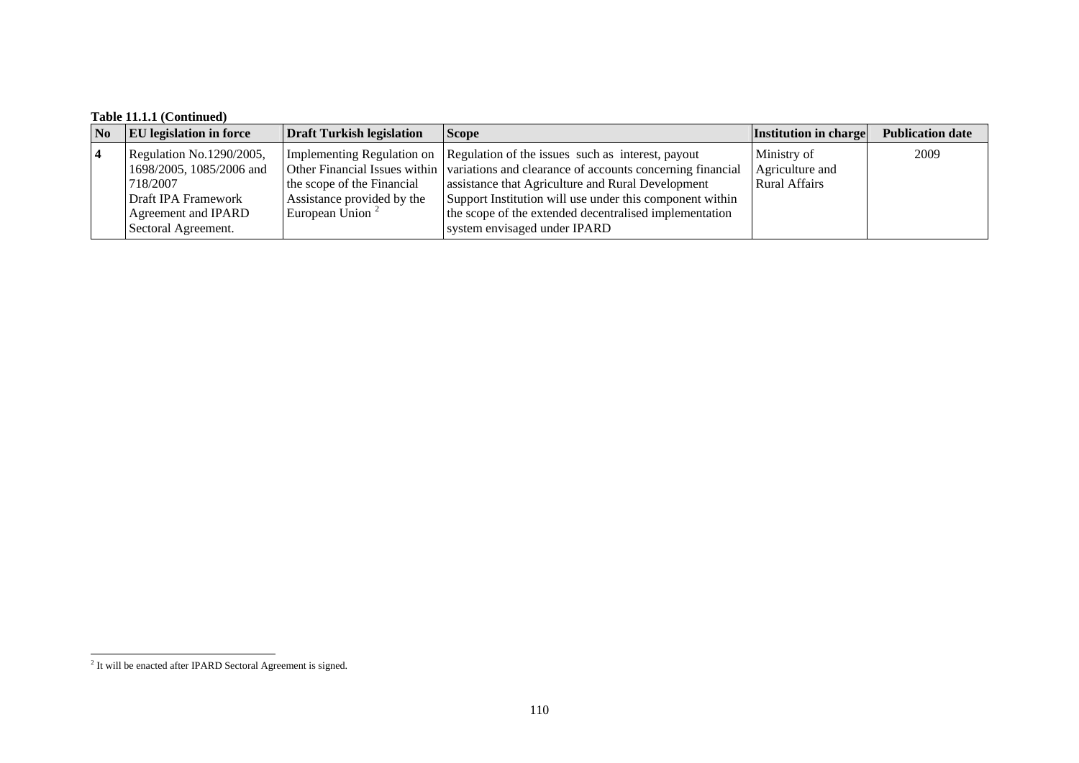## **Table 11.1.1 (Continued)**

| No         | <b>EU</b> legislation in force | <b>Draft Turkish legislation</b> | <b>Scope</b>                                                                            | Institution in charge | <b>Publication date</b> |
|------------|--------------------------------|----------------------------------|-----------------------------------------------------------------------------------------|-----------------------|-------------------------|
| $\sqrt{4}$ | Regulation No.1290/2005,       |                                  | Implementing Regulation on Regulation of the issues such as interest, payout            | Ministry of           | 2009                    |
|            | 1698/2005, 1085/2006 and       |                                  | Other Financial Issues within variations and clearance of accounts concerning financial | Agriculture and       |                         |
|            | 718/2007                       | the scope of the Financial       | assistance that Agriculture and Rural Development                                       | <b>Rural Affairs</b>  |                         |
|            | Draft IPA Framework            | Assistance provided by the       | Support Institution will use under this component within                                |                       |                         |
|            | Agreement and IPARD            | European Union $\frac{2}{x}$     | the scope of the extended decentralised implementation                                  |                       |                         |
|            | Sectoral Agreement.            |                                  | system envisaged under IPARD                                                            |                       |                         |

<span id="page-1-0"></span><sup>&</sup>lt;sup>2</sup> It will be enacted after IPARD Sectoral Agreement is signed.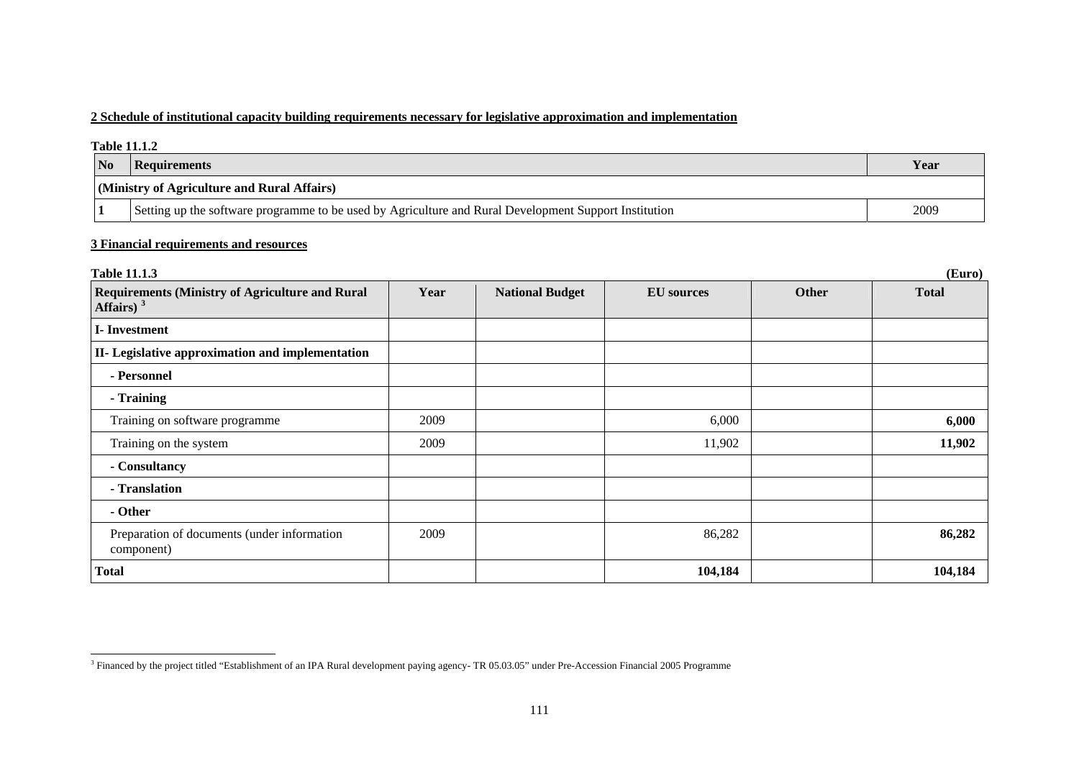### **2 Schedule of institutional capacity building requirements necessary for legislative approximation and implementation**

|           | <b>Table 11.1.2</b>                                                                                   |      |  |  |  |  |
|-----------|-------------------------------------------------------------------------------------------------------|------|--|--|--|--|
| <b>No</b> | Requirements                                                                                          | Year |  |  |  |  |
|           | (Ministry of Agriculture and Rural Affairs)                                                           |      |  |  |  |  |
|           | Setting up the software programme to be used by Agriculture and Rural Development Support Institution | 2009 |  |  |  |  |

#### **3 Financial requirements and resources**

| <b>Table 11.1.3</b>                                                    |      |                        |                   |              | (Euro)       |
|------------------------------------------------------------------------|------|------------------------|-------------------|--------------|--------------|
| <b>Requirements (Ministry of Agriculture and Rural</b><br>Affairs) $3$ | Year | <b>National Budget</b> | <b>EU</b> sources | <b>Other</b> | <b>Total</b> |
| I-Investment                                                           |      |                        |                   |              |              |
| II- Legislative approximation and implementation                       |      |                        |                   |              |              |
| - Personnel                                                            |      |                        |                   |              |              |
| - Training                                                             |      |                        |                   |              |              |
| Training on software programme                                         | 2009 |                        | 6,000             |              | 6,000        |
| Training on the system                                                 | 2009 |                        | 11,902            |              | 11,902       |
| - Consultancy                                                          |      |                        |                   |              |              |
| - Translation                                                          |      |                        |                   |              |              |
| - Other                                                                |      |                        |                   |              |              |
| Preparation of documents (under information<br>component)              | 2009 |                        | 86,282            |              | 86,282       |
| <b>Total</b>                                                           |      |                        | 104,184           |              | 104,184      |

<span id="page-2-0"></span><sup>&</sup>lt;sup>3</sup> Financed by the project titled "Establishment of an IPA Rural development paying agency-TR 05.03.05" under Pre-Accession Financial 2005 Programme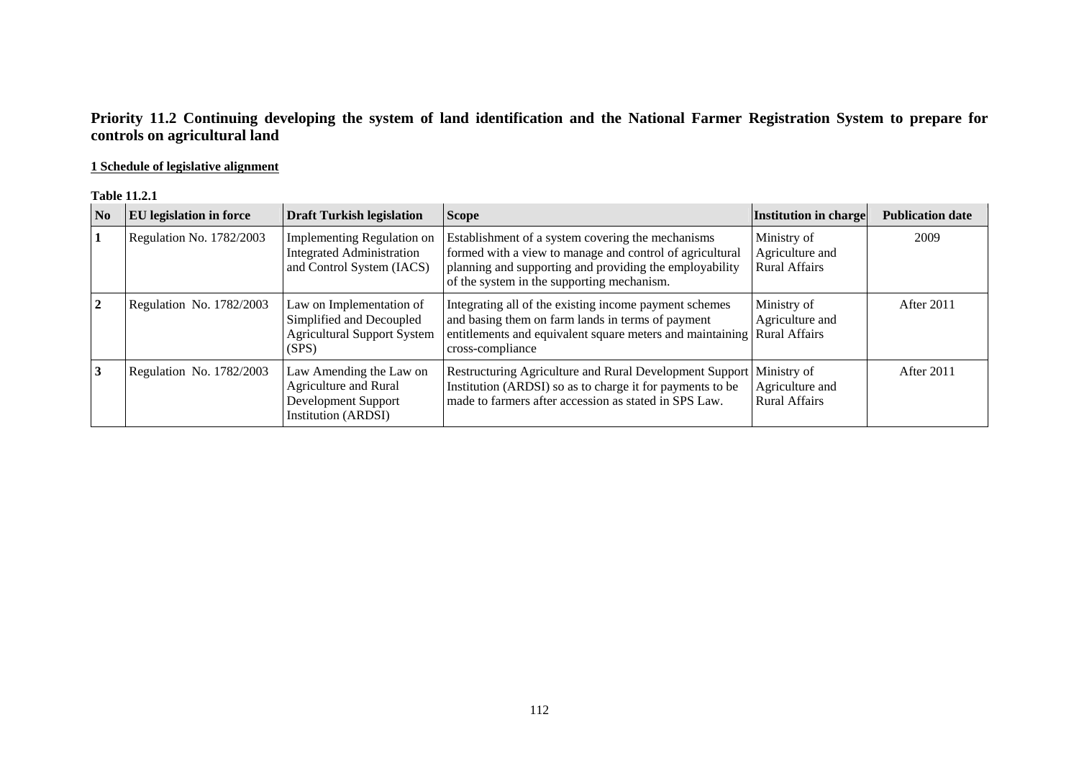## **Priority 11.2 Continuing developing the system of land identification and the National Farmer Registration System to prepare for controls on agricultural land**

### **1 Schedule of legislative alignment**

#### **Table 11.2.1**

| N <sub>0</sub> | <b>EU</b> legislation in force | <b>Draft Turkish legislation</b>                                                                      | <b>Scope</b>                                                                                                                                                                                                           | Institution in charge                                  | <b>Publication date</b> |
|----------------|--------------------------------|-------------------------------------------------------------------------------------------------------|------------------------------------------------------------------------------------------------------------------------------------------------------------------------------------------------------------------------|--------------------------------------------------------|-------------------------|
|                | Regulation No. 1782/2003       | Implementing Regulation on<br><b>Integrated Administration</b><br>and Control System (IACS)           | Establishment of a system covering the mechanisms<br>formed with a view to manage and control of agricultural<br>planning and supporting and providing the employability<br>of the system in the supporting mechanism. | Ministry of<br>Agriculture and<br><b>Rural Affairs</b> | 2009                    |
| 2              | Regulation No. 1782/2003       | Law on Implementation of<br>Simplified and Decoupled<br><b>Agricultural Support System</b><br>(SPS)   | Integrating all of the existing income payment schemes<br>and basing them on farm lands in terms of payment<br>entitlements and equivalent square meters and maintaining Rural Affairs<br>cross-compliance             | Ministry of<br>Agriculture and                         | After 2011              |
| 3              | Regulation No. 1782/2003       | Law Amending the Law on<br>Agriculture and Rural<br>Development Support<br><b>Institution (ARDSI)</b> | Restructuring Agriculture and Rural Development Support   Ministry of<br>Institution (ARDSI) so as to charge it for payments to be<br>made to farmers after accession as stated in SPS Law.                            | Agriculture and<br><b>Rural Affairs</b>                | After 2011              |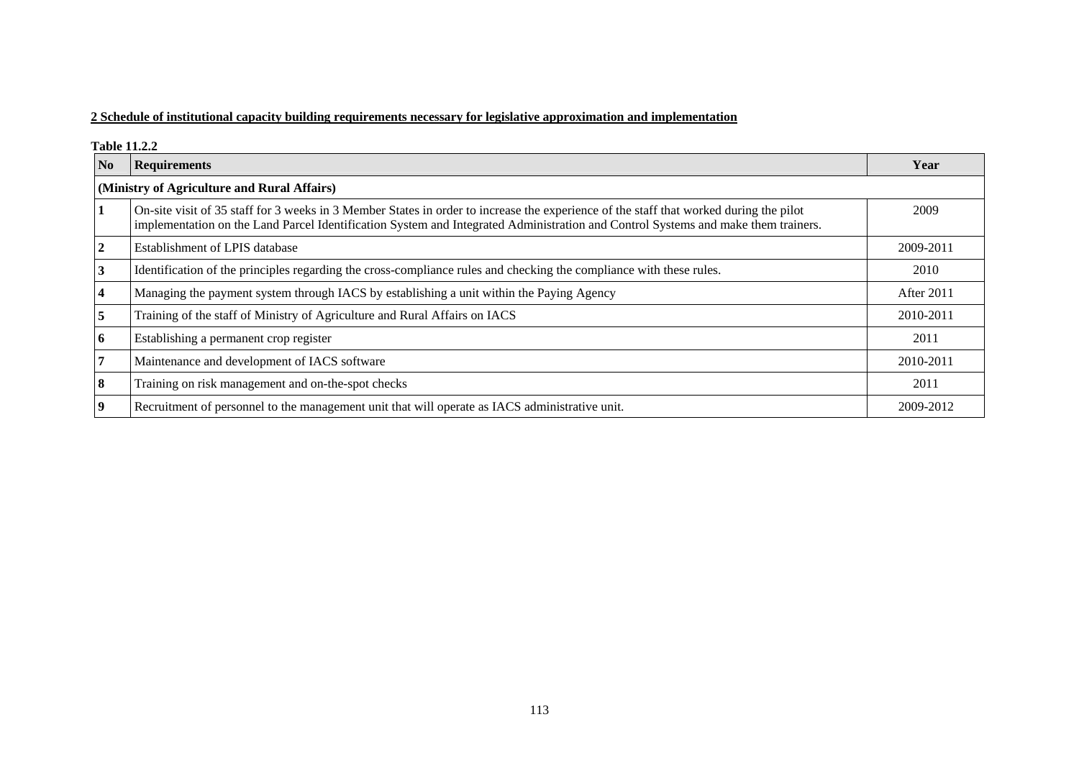### **2 Schedule of institutional capacity building requirements necessary for legislative approximation and implementation**

**Table 11.2.2** 

| No                                          | <b>Requirements</b>                                                                                                                                                                                                                                                         | Year       |  |  |
|---------------------------------------------|-----------------------------------------------------------------------------------------------------------------------------------------------------------------------------------------------------------------------------------------------------------------------------|------------|--|--|
| (Ministry of Agriculture and Rural Affairs) |                                                                                                                                                                                                                                                                             |            |  |  |
|                                             | On-site visit of 35 staff for 3 weeks in 3 Member States in order to increase the experience of the staff that worked during the pilot<br>implementation on the Land Parcel Identification System and Integrated Administration and Control Systems and make them trainers. | 2009       |  |  |
|                                             | Establishment of LPIS database                                                                                                                                                                                                                                              | 2009-2011  |  |  |
|                                             | Identification of the principles regarding the cross-compliance rules and checking the compliance with these rules.                                                                                                                                                         | 2010       |  |  |
|                                             | Managing the payment system through IACS by establishing a unit within the Paying Agency                                                                                                                                                                                    | After 2011 |  |  |
|                                             | Training of the staff of Ministry of Agriculture and Rural Affairs on IACS                                                                                                                                                                                                  | 2010-2011  |  |  |
| 6                                           | Establishing a permanent crop register                                                                                                                                                                                                                                      | 2011       |  |  |
|                                             | Maintenance and development of IACS software                                                                                                                                                                                                                                | 2010-2011  |  |  |
| 8                                           | Training on risk management and on-the-spot checks                                                                                                                                                                                                                          | 2011       |  |  |
| 9                                           | Recruitment of personnel to the management unit that will operate as IACS administrative unit.                                                                                                                                                                              | 2009-2012  |  |  |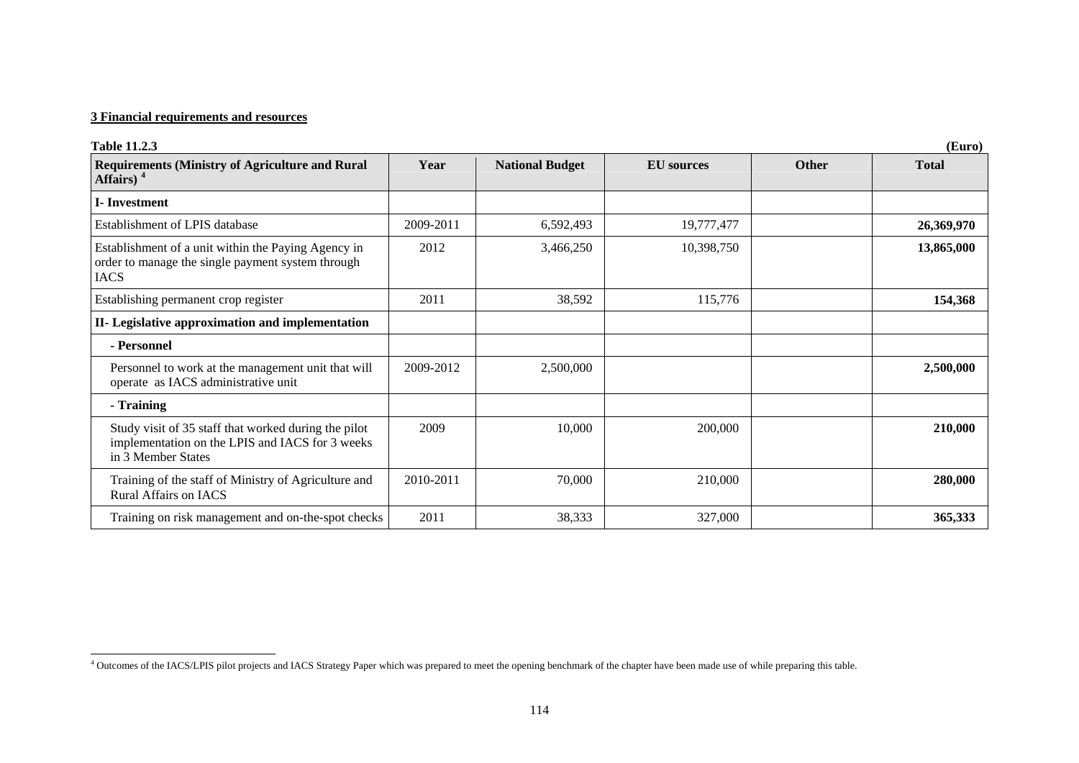### **3 Financial requirements and resources**

| <b>Table 11.2.3</b><br>(Euro)                                                                                                 |           |                        |                   |              |              |  |
|-------------------------------------------------------------------------------------------------------------------------------|-----------|------------------------|-------------------|--------------|--------------|--|
| <b>Requirements (Ministry of Agriculture and Rural</b><br>Affairs) $4$                                                        | Year      | <b>National Budget</b> | <b>EU</b> sources | <b>Other</b> | <b>Total</b> |  |
| <b>I</b> -Investment                                                                                                          |           |                        |                   |              |              |  |
| Establishment of LPIS database                                                                                                | 2009-2011 | 6,592,493              | 19,777,477        |              | 26,369,970   |  |
| Establishment of a unit within the Paying Agency in<br>order to manage the single payment system through<br><b>IACS</b>       | 2012      | 3,466,250              | 10,398,750        |              | 13,865,000   |  |
| Establishing permanent crop register                                                                                          | 2011      | 38,592                 | 115,776           |              | 154,368      |  |
| II- Legislative approximation and implementation                                                                              |           |                        |                   |              |              |  |
| - Personnel                                                                                                                   |           |                        |                   |              |              |  |
| Personnel to work at the management unit that will<br>operate as IACS administrative unit                                     | 2009-2012 | 2,500,000              |                   |              | 2,500,000    |  |
| - Training                                                                                                                    |           |                        |                   |              |              |  |
| Study visit of 35 staff that worked during the pilot<br>implementation on the LPIS and IACS for 3 weeks<br>in 3 Member States | 2009      | 10,000                 | 200,000           |              | 210,000      |  |
| Training of the staff of Ministry of Agriculture and<br><b>Rural Affairs on IACS</b>                                          | 2010-2011 | 70,000                 | 210,000           |              | 280,000      |  |
| Training on risk management and on-the-spot checks                                                                            | 2011      | 38,333                 | 327,000           |              | 365,333      |  |

<span id="page-5-0"></span><sup>&</sup>lt;sup>4</sup> Outcomes of the IACS/LPIS pilot projects and IACS Strategy Paper which was prepared to meet the opening benchmark of the chapter have been made use of while preparing this table.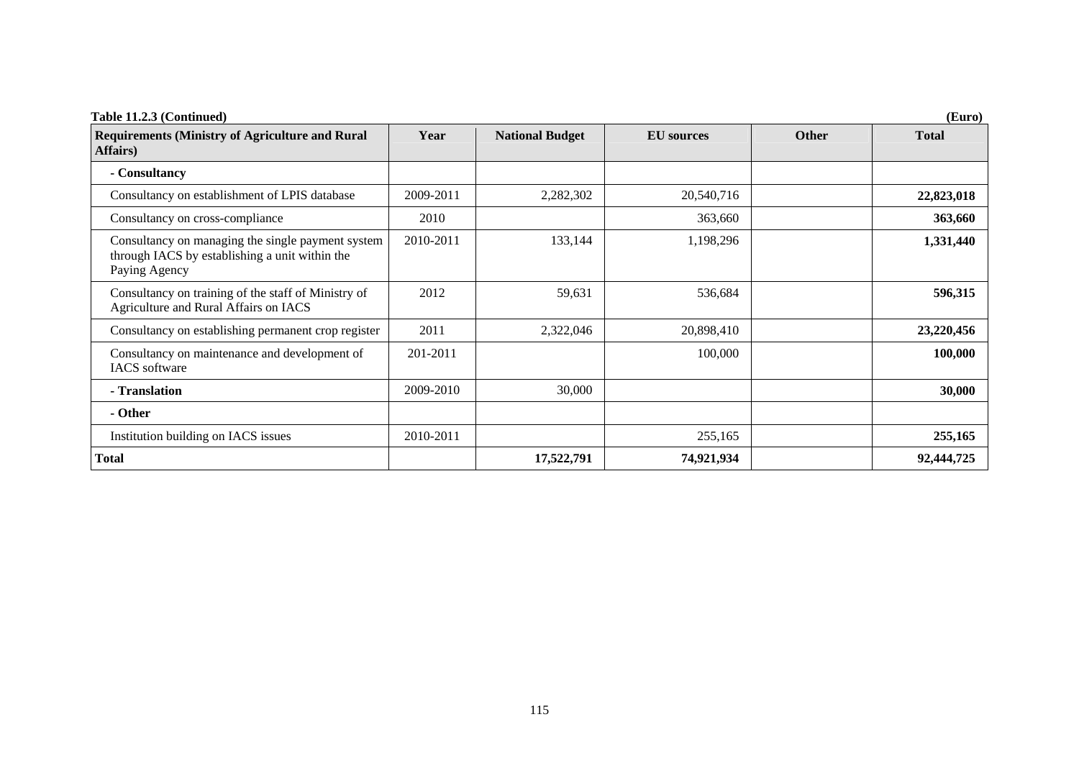| Table 11.2.3 (Continued)<br>(Euro)                                                                                   |           |                        |                   |              |              |
|----------------------------------------------------------------------------------------------------------------------|-----------|------------------------|-------------------|--------------|--------------|
| <b>Requirements (Ministry of Agriculture and Rural</b><br>Affairs)                                                   | Year      | <b>National Budget</b> | <b>EU</b> sources | <b>Other</b> | <b>Total</b> |
| - Consultancy                                                                                                        |           |                        |                   |              |              |
| Consultancy on establishment of LPIS database                                                                        | 2009-2011 | 2,282,302              | 20,540,716        |              | 22,823,018   |
| Consultancy on cross-compliance                                                                                      | 2010      |                        | 363,660           |              | 363,660      |
| Consultancy on managing the single payment system<br>through IACS by establishing a unit within the<br>Paying Agency | 2010-2011 | 133,144                | 1,198,296         |              | 1,331,440    |
| Consultancy on training of the staff of Ministry of<br>Agriculture and Rural Affairs on IACS                         | 2012      | 59,631                 | 536,684           |              | 596,315      |
| Consultancy on establishing permanent crop register                                                                  | 2011      | 2,322,046              | 20,898,410        |              | 23,220,456   |
| Consultancy on maintenance and development of<br><b>IACS</b> software                                                | 201-2011  |                        | 100,000           |              | 100,000      |
| - Translation                                                                                                        | 2009-2010 | 30,000                 |                   |              | 30,000       |
| - Other                                                                                                              |           |                        |                   |              |              |
| Institution building on IACS issues                                                                                  | 2010-2011 |                        | 255,165           |              | 255,165      |
| Total                                                                                                                |           | 17,522,791             | 74,921,934        |              | 92,444,725   |